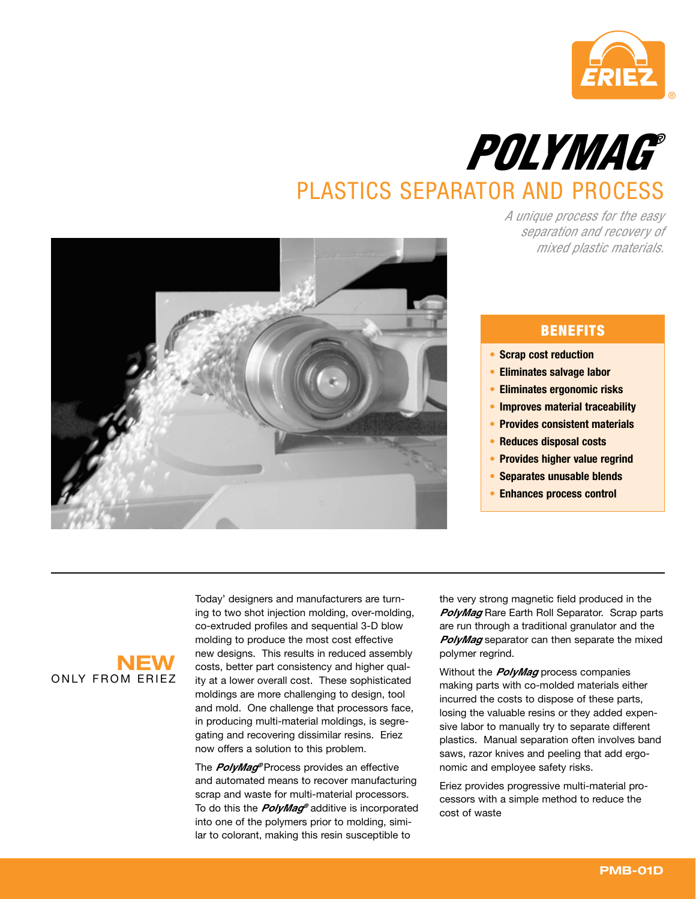



A unique process for the easy separation and recovery of mixed plastic materials.



# **BENEFITS**

- Scrap cost reduction
- Eliminates salvage labor
- Eliminates ergonomic risks
- Improves material traceability
- Provides consistent materials
- **Reduces disposal costs**
- Provides higher value regrind
- Separates unusable blends
- Enhances process control



Today' designers and manufacturers are turning to two shot injection molding, over-molding, co-extruded profiles and sequential 3-D blow molding to produce the most cost effective new designs. This results in reduced assembly costs, better part consistency and higher quality at a lower overall cost. These sophisticated moldings are more challenging to design, tool and mold. One challenge that processors face, in producing multi-material moldings, is segregating and recovering dissimilar resins. Eriez now offers a solution to this problem.

The *PolyMag®* Process provides an effective and automated means to recover manufacturing scrap and waste for multi-material processors. To do this the *PolyMag<sup>®</sup>* additive is incorporated into one of the polymers prior to molding, similar to colorant, making this resin susceptible to

the very strong magnetic field produced in the PolyMag Rare Earth Roll Separator. Scrap parts are run through a traditional granulator and the PolyMag separator can then separate the mixed polymer regrind.

Without the **PolyMag** process companies making parts with co-molded materials either incurred the costs to dispose of these parts, losing the valuable resins or they added expensive labor to manually try to separate different plastics. Manual separation often involves band saws, razor knives and peeling that add ergonomic and employee safety risks.

Eriez provides progressive multi-material processors with a simple method to reduce the cost of waste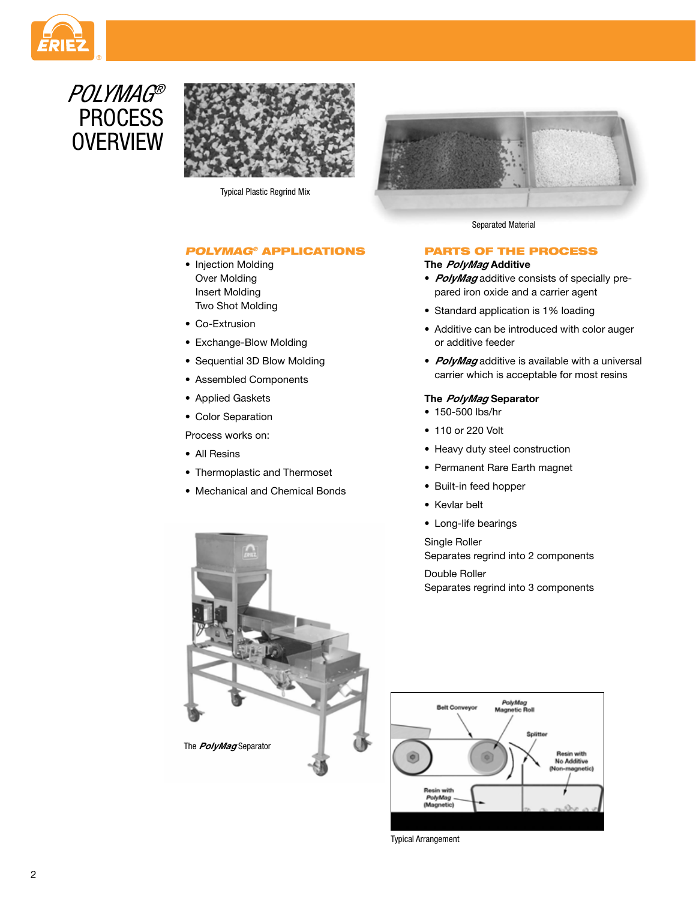





**Typical Plastic Regrind Mix** 

## **POLYMAG<sup>®</sup> APPLICATIONS**

- Injection Molding **Over Molding Insert Molding** Two Shot Molding
- Co-Extrusion
- Exchange-Blow Molding
- Sequential 3D Blow Molding
- Assembled Components
- Applied Gaskets
- Color Separation

Process works on:

- All Resins
- Thermoplastic and Thermoset
- Mechanical and Chemical Bonds



**Separated Material** 

## **PARTS OF THE PROCESS**

## The PolyMag Additive

- PolyMag additive consists of specially prepared iron oxide and a carrier agent
- Standard application is 1% loading
- Additive can be introduced with color auger or additive feeder
- PolyMag additive is available with a universal carrier which is acceptable for most resins

#### The PolyMag Separator

- 150-500 lbs/hr
- 110 or 220 Volt
- Heavy duty steel construction
- Permanent Rare Earth magnet
- Built-in feed hopper
- Kevlar belt
- Long-life bearings

Single Roller Separates regrind into 2 components

Double Roller Separates regrind into 3 components





**Typical Arrangement**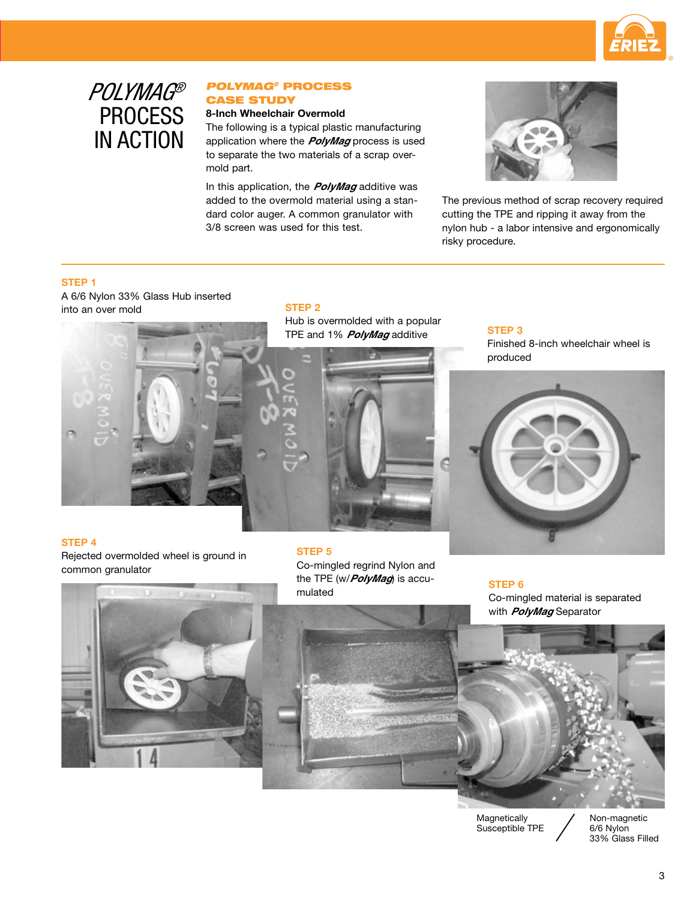



## $POLYMAG<sup>°</sup>$  **PROCESS CASE STUDY**

## 8-Inch Wheelchair Overmold

The following is a typical plastic manufacturing application where the **PolyMag** process is used to separate the two materials of a scrap overmold part.

In this application, the **PolyMag** additive was added to the overmold material using a standard color auger. A common granulator with 3/8 screen was used for this test.



The previous method of scrap recovery required cutting the TPE and ripping it away from the *nylon hub - a labor intensive and ergonomically* risky procedure.

## **STEP 1**

A 6/6 Nylon 33% Glass Hub inserted into an over mold **34%** 35 and 36% 35 and 36% 35 and 36% 35 and 36% 35 and 36% 35 and 36% 35 and 36% 35% 36% 36%

Hub is overmolded with a popular *And is creminated may a popular* STEP 3



Finished 8-inch wheelchair wheel is produced



## **STEP 4**

Rejected overmolded wheel is ground in *COMMONGRANULATOR*

### **STEP 5**

Co-mingled regrind Nylon and

**STEP 6** Co-mingled material is separated



the TPE (w/*PolyMag*) is accu-*MULATED*

with **PolyMag** Separator

Magnetically Susceptible TPE **Non-magnetic** 6/6 Nvlon 33% Glass Filled